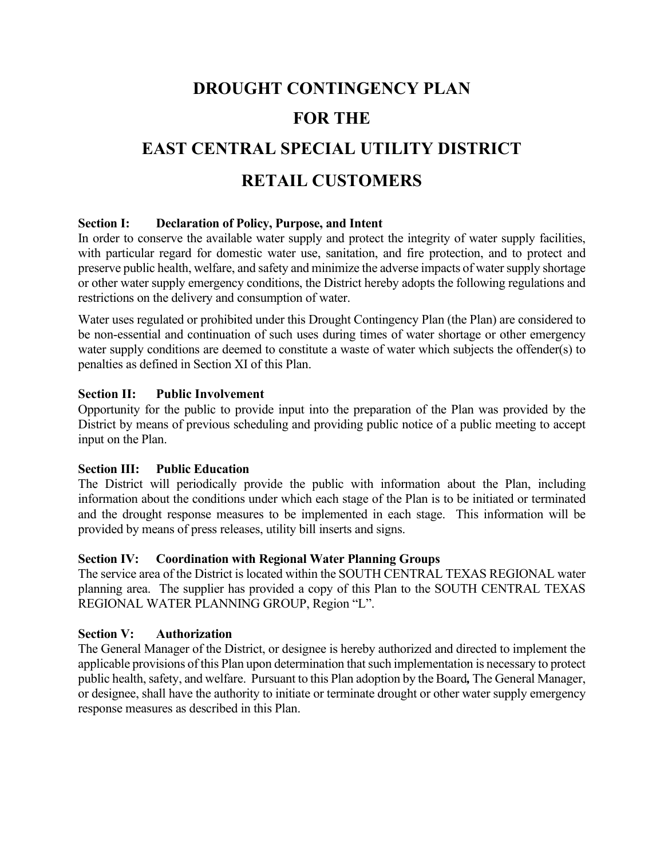# **DROUGHT CONTINGENCY PLAN FOR THE EAST CENTRAL SPECIAL UTILITY DISTRICT RETAIL CUSTOMERS**

# **Section I: Declaration of Policy, Purpose, and Intent**

In order to conserve the available water supply and protect the integrity of water supply facilities, with particular regard for domestic water use, sanitation, and fire protection, and to protect and preserve public health, welfare, and safety and minimize the adverse impacts of water supply shortage or other water supply emergency conditions, the District hereby adopts the following regulations and restrictions on the delivery and consumption of water.

Water uses regulated or prohibited under this Drought Contingency Plan (the Plan) are considered to be non-essential and continuation of such uses during times of water shortage or other emergency water supply conditions are deemed to constitute a waste of water which subjects the offender(s) to penalties as defined in Section XI of this Plan.

# **Section II: Public Involvement**

Opportunity for the public to provide input into the preparation of the Plan was provided by the District by means of previous scheduling and providing public notice of a public meeting to accept input on the Plan.

# **Section III: Public Education**

The District will periodically provide the public with information about the Plan, including information about the conditions under which each stage of the Plan is to be initiated or terminated and the drought response measures to be implemented in each stage. This information will be provided by means of press releases, utility bill inserts and signs.

# **Section IV: Coordination with Regional Water Planning Groups**

The service area of the District is located within the SOUTH CENTRAL TEXAS REGIONAL water planning area. The supplier has provided a copy of this Plan to the SOUTH CENTRAL TEXAS REGIONAL WATER PLANNING GROUP, Region "L".

# **Section V: Authorization**

The General Manager of the District, or designee is hereby authorized and directed to implement the applicable provisions of this Plan upon determination that such implementation is necessary to protect public health, safety, and welfare. Pursuant to this Plan adoption by the Board*,* The General Manager, or designee, shall have the authority to initiate or terminate drought or other water supply emergency response measures as described in this Plan.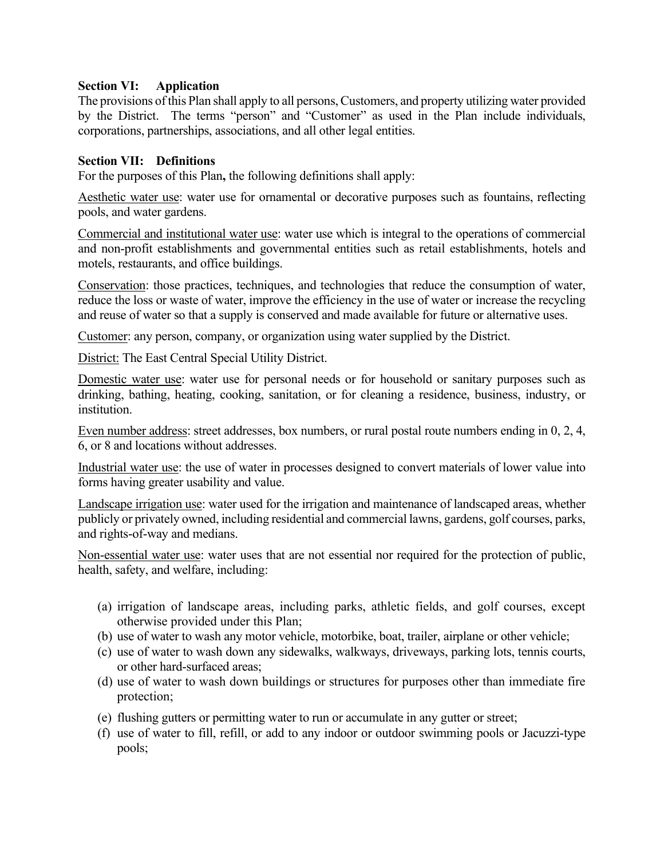# **Section VI: Application**

The provisions of this Plan shall apply to all persons, Customers, and property utilizing water provided by the District.The terms "person" and "Customer" as used in the Plan include individuals, corporations, partnerships, associations, and all other legal entities.

# **Section VII: Definitions**

For the purposes of this Plan**,** the following definitions shall apply:

Aesthetic water use: water use for ornamental or decorative purposes such as fountains, reflecting pools, and water gardens.

Commercial and institutional water use: water use which is integral to the operations of commercial and non-profit establishments and governmental entities such as retail establishments, hotels and motels, restaurants, and office buildings.

Conservation: those practices, techniques, and technologies that reduce the consumption of water, reduce the loss or waste of water, improve the efficiency in the use of water or increase the recycling and reuse of water so that a supply is conserved and made available for future or alternative uses.

Customer: any person, company, or organization using water supplied by the District.

District: The East Central Special Utility District.

Domestic water use: water use for personal needs or for household or sanitary purposes such as drinking, bathing, heating, cooking, sanitation, or for cleaning a residence, business, industry, or institution.

Even number address: street addresses, box numbers, or rural postal route numbers ending in 0, 2, 4, 6, or 8 and locations without addresses.

Industrial water use: the use of water in processes designed to convert materials of lower value into forms having greater usability and value.

Landscape irrigation use: water used for the irrigation and maintenance of landscaped areas, whether publicly or privately owned, including residential and commercial lawns, gardens, golf courses, parks, and rights-of-way and medians.

Non-essential water use: water uses that are not essential nor required for the protection of public, health, safety, and welfare, including:

- (a) irrigation of landscape areas, including parks, athletic fields, and golf courses, except otherwise provided under this Plan;
- (b) use of water to wash any motor vehicle, motorbike, boat, trailer, airplane or other vehicle;
- (c) use of water to wash down any sidewalks, walkways, driveways, parking lots, tennis courts, or other hard-surfaced areas;
- (d) use of water to wash down buildings or structures for purposes other than immediate fire protection;
- (e) flushing gutters or permitting water to run or accumulate in any gutter or street;
- (f) use of water to fill, refill, or add to any indoor or outdoor swimming pools or Jacuzzi-type pools;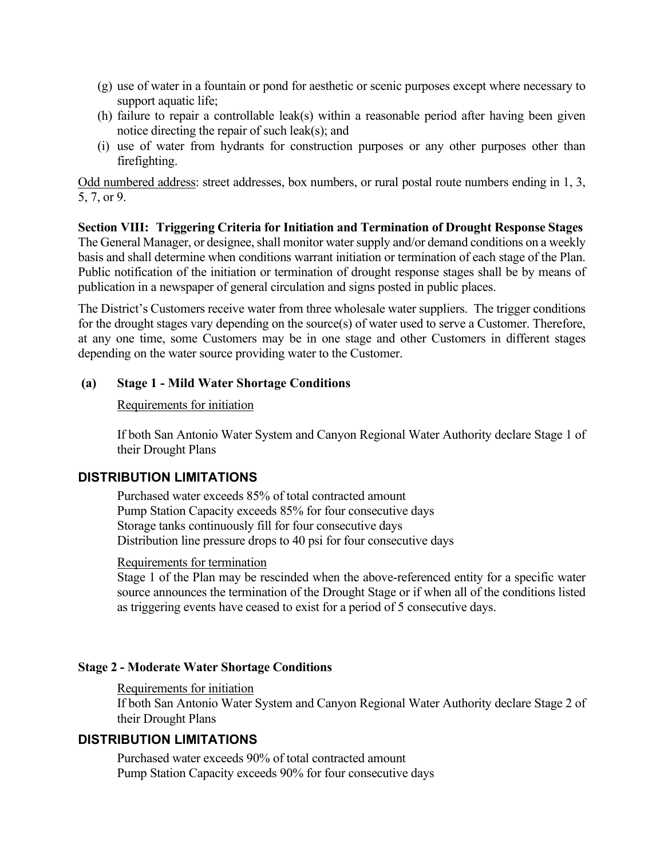- (g) use of water in a fountain or pond for aesthetic or scenic purposes except where necessary to support aquatic life;
- (h) failure to repair a controllable leak(s) within a reasonable period after having been given notice directing the repair of such leak(s); and
- (i) use of water from hydrants for construction purposes or any other purposes other than firefighting.

Odd numbered address: street addresses, box numbers, or rural postal route numbers ending in 1, 3, 5, 7, or 9.

**Section VIII: Triggering Criteria for Initiation and Termination of Drought Response Stages** The General Manager, or designee, shall monitor water supply and/or demand conditions on a weekly basis and shall determine when conditions warrant initiation or termination of each stage of the Plan. Public notification of the initiation or termination of drought response stages shall be by means of publication in a newspaper of general circulation and signs posted in public places.

The District's Customers receive water from three wholesale water suppliers. The trigger conditions for the drought stages vary depending on the source(s) of water used to serve a Customer. Therefore, at any one time, some Customers may be in one stage and other Customers in different stages depending on the water source providing water to the Customer.

# **(a) Stage 1 - Mild Water Shortage Conditions**

# Requirements for initiation

If both San Antonio Water System and Canyon Regional Water Authority declare Stage 1 of their Drought Plans

# **DISTRIBUTION LIMITATIONS**

Purchased water exceeds 85% of total contracted amount Pump Station Capacity exceeds 85% for four consecutive days Storage tanks continuously fill for four consecutive days Distribution line pressure drops to 40 psi for four consecutive days

#### Requirements for termination

Stage 1 of the Plan may be rescinded when the above-referenced entity for a specific water source announces the termination of the Drought Stage or if when all of the conditions listed as triggering events have ceased to exist for a period of 5 consecutive days.

# **Stage 2 - Moderate Water Shortage Conditions**

#### Requirements for initiation

If both San Antonio Water System and Canyon Regional Water Authority declare Stage 2 of their Drought Plans

# **DISTRIBUTION LIMITATIONS**

Purchased water exceeds 90% of total contracted amount Pump Station Capacity exceeds 90% for four consecutive days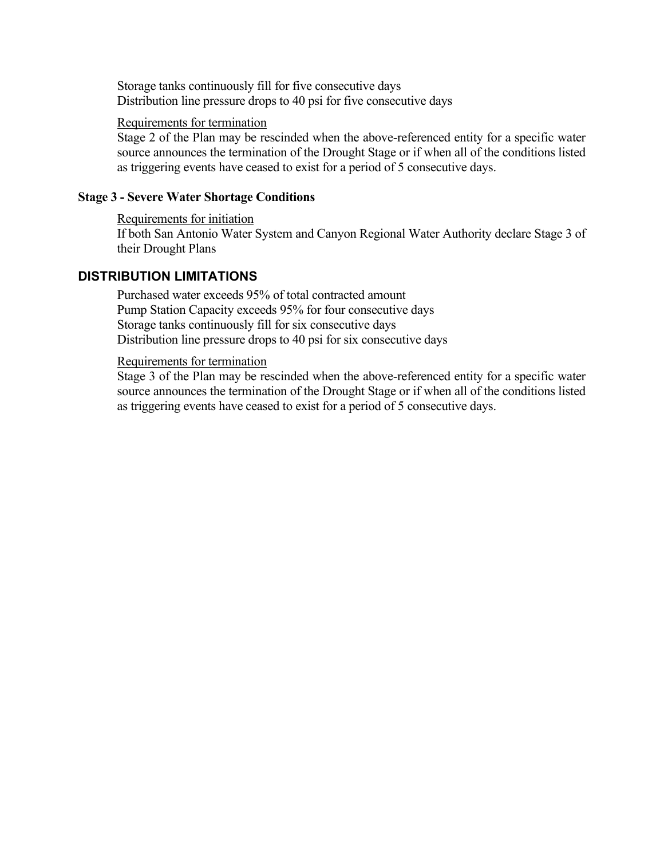Storage tanks continuously fill for five consecutive days Distribution line pressure drops to 40 psi for five consecutive days

#### Requirements for termination

Stage 2 of the Plan may be rescinded when the above-referenced entity for a specific water source announces the termination of the Drought Stage or if when all of the conditions listed as triggering events have ceased to exist for a period of 5 consecutive days.

## **Stage 3 - Severe Water Shortage Conditions**

Requirements for initiation If both San Antonio Water System and Canyon Regional Water Authority declare Stage 3 of their Drought Plans

# **DISTRIBUTION LIMITATIONS**

Purchased water exceeds 95% of total contracted amount Pump Station Capacity exceeds 95% for four consecutive days Storage tanks continuously fill for six consecutive days Distribution line pressure drops to 40 psi for six consecutive days

#### Requirements for termination

Stage 3 of the Plan may be rescinded when the above-referenced entity for a specific water source announces the termination of the Drought Stage or if when all of the conditions listed as triggering events have ceased to exist for a period of 5 consecutive days.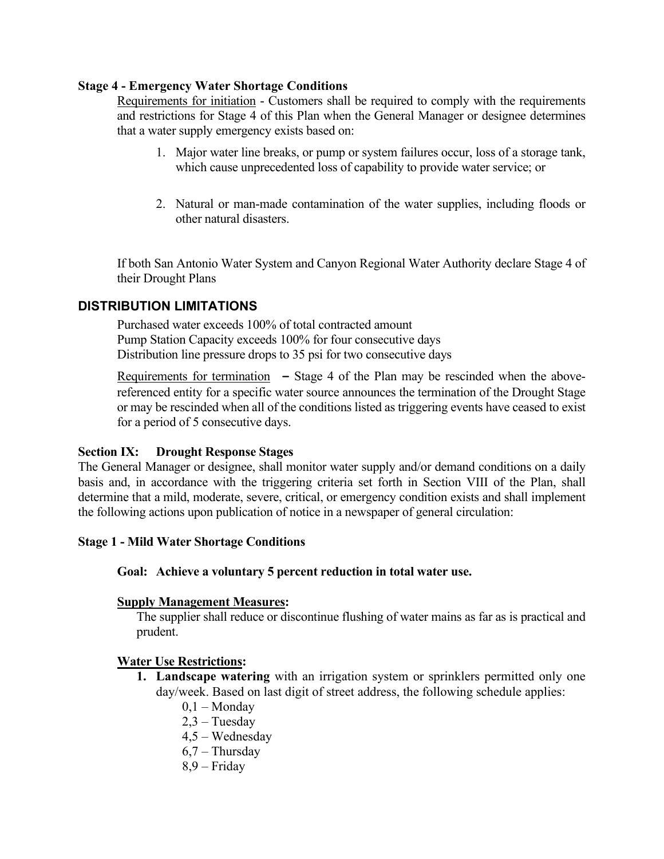# **Stage 4 - Emergency Water Shortage Conditions**

Requirements for initiation - Customers shall be required to comply with the requirements and restrictions for Stage 4 of this Plan when the General Manager or designee determines that a water supply emergency exists based on:

- 1. Major water line breaks, or pump or system failures occur, loss of a storage tank, which cause unprecedented loss of capability to provide water service; or
- 2. Natural or man-made contamination of the water supplies, including floods or other natural disasters.

If both San Antonio Water System and Canyon Regional Water Authority declare Stage 4 of their Drought Plans

# **DISTRIBUTION LIMITATIONS**

Purchased water exceeds 100% of total contracted amount Pump Station Capacity exceeds 100% for four consecutive days Distribution line pressure drops to 35 psi for two consecutive days

Requirements for termination **–** Stage 4 of the Plan may be rescinded when the abovereferenced entity for a specific water source announces the termination of the Drought Stage or may be rescinded when all of the conditions listed as triggering events have ceased to exist for a period of 5 consecutive days.

# **Section IX: Drought Response Stages**

The General Manager or designee, shall monitor water supply and/or demand conditions on a daily basis and, in accordance with the triggering criteria set forth in Section VIII of the Plan, shall determine that a mild, moderate, severe, critical, or emergency condition exists and shall implement the following actions upon publication of notice in a newspaper of general circulation:

#### **Stage 1 - Mild Water Shortage Conditions**

#### **Goal: Achieve a voluntary 5 percent reduction in total water use.**

#### **Supply Management Measures:**

The supplier shall reduce or discontinue flushing of water mains as far as is practical and prudent.

# **Water Use Restrictions:**

- **1. Landscape watering** with an irrigation system or sprinklers permitted only one day/week. Based on last digit of street address, the following schedule applies:
	- $0,1 -$ Monday
	- 2,3 Tuesday
	- 4,5 Wednesday
	- 6,7 Thursday
	- 8,9 Friday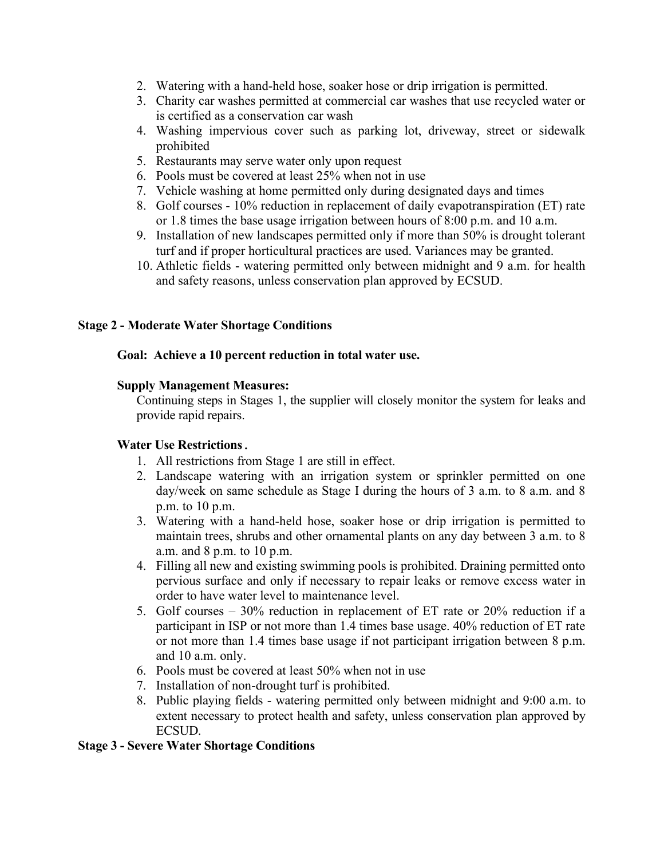- 2. Watering with a hand-held hose, soaker hose or drip irrigation is permitted.
- 3. Charity car washes permitted at commercial car washes that use recycled water or is certified as a conservation car wash
- 4. Washing impervious cover such as parking lot, driveway, street or sidewalk prohibited
- 5. Restaurants may serve water only upon request
- 6. Pools must be covered at least 25% when not in use
- 7. Vehicle washing at home permitted only during designated days and times
- 8. Golf courses 10% reduction in replacement of daily evapotranspiration (ET) rate or 1.8 times the base usage irrigation between hours of 8:00 p.m. and 10 a.m.
- 9. Installation of new landscapes permitted only if more than 50% is drought tolerant turf and if proper horticultural practices are used. Variances may be granted.
- 10. Athletic fields watering permitted only between midnight and 9 a.m. for health and safety reasons, unless conservation plan approved by ECSUD.

# **Stage 2 - Moderate Water Shortage Conditions**

# **Goal: Achieve a 10 percent reduction in total water use.**

#### **Supply Management Measures:**

Continuing steps in Stages 1, the supplier will closely monitor the system for leaks and provide rapid repairs.

# **Water Use Restrictions.**

- 1. All restrictions from Stage 1 are still in effect.
- 2. Landscape watering with an irrigation system or sprinkler permitted on one day/week on same schedule as Stage I during the hours of 3 a.m. to 8 a.m. and 8 p.m. to 10 p.m.
- 3. Watering with a hand-held hose, soaker hose or drip irrigation is permitted to maintain trees, shrubs and other ornamental plants on any day between 3 a.m. to 8 a.m. and 8 p.m. to 10 p.m.
- 4. Filling all new and existing swimming pools is prohibited. Draining permitted onto pervious surface and only if necessary to repair leaks or remove excess water in order to have water level to maintenance level.
- 5. Golf courses 30% reduction in replacement of ET rate or 20% reduction if a participant in ISP or not more than 1.4 times base usage. 40% reduction of ET rate or not more than 1.4 times base usage if not participant irrigation between 8 p.m. and 10 a.m. only.
- 6. Pools must be covered at least 50% when not in use
- 7. Installation of non-drought turf is prohibited.
- 8. Public playing fields watering permitted only between midnight and 9:00 a.m. to extent necessary to protect health and safety, unless conservation plan approved by ECSUD.

# **Stage 3 - Severe Water Shortage Conditions**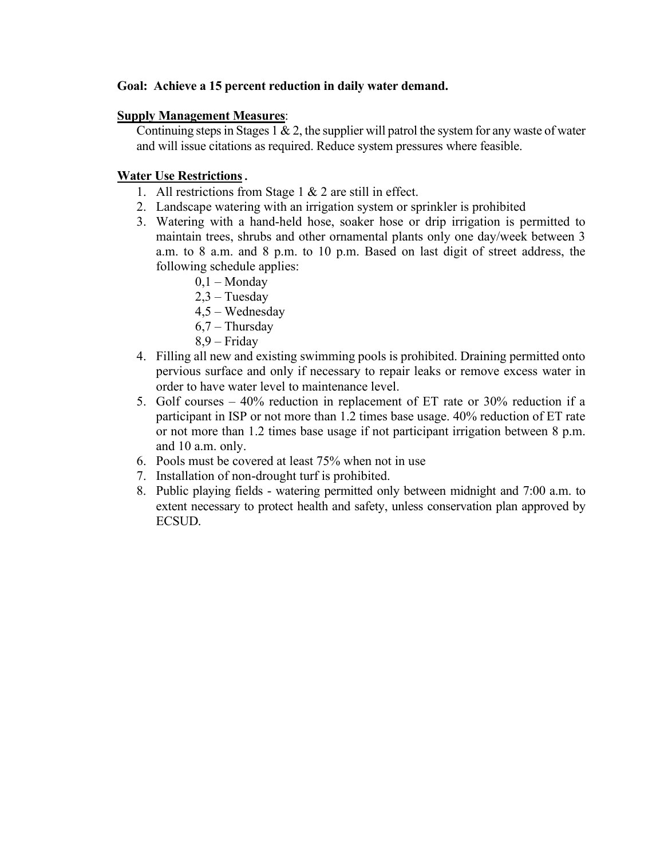# **Goal: Achieve a 15 percent reduction in daily water demand.**

# **Supply Management Measures**:

Continuing steps in Stages 1  $\&$  2, the supplier will patrol the system for any waste of water and will issue citations as required. Reduce system pressures where feasible.

# **Water Use Restrictions.**

- 1. All restrictions from Stage 1 & 2 are still in effect.
- 2. Landscape watering with an irrigation system or sprinkler is prohibited
- 3. Watering with a hand-held hose, soaker hose or drip irrigation is permitted to maintain trees, shrubs and other ornamental plants only one day/week between 3 a.m. to 8 a.m. and 8 p.m. to 10 p.m. Based on last digit of street address, the following schedule applies:
	- $0,1 -$ Monday
	- 2,3 Tuesday
	- 4,5 Wednesday
	- $6,7$  Thursday
	- 8,9 Friday
- 4. Filling all new and existing swimming pools is prohibited. Draining permitted onto pervious surface and only if necessary to repair leaks or remove excess water in order to have water level to maintenance level.
- 5. Golf courses 40% reduction in replacement of ET rate or 30% reduction if a participant in ISP or not more than 1.2 times base usage. 40% reduction of ET rate or not more than 1.2 times base usage if not participant irrigation between 8 p.m. and 10 a.m. only.
- 6. Pools must be covered at least 75% when not in use
- 7. Installation of non-drought turf is prohibited.
- 8. Public playing fields watering permitted only between midnight and 7:00 a.m. to extent necessary to protect health and safety, unless conservation plan approved by ECSUD.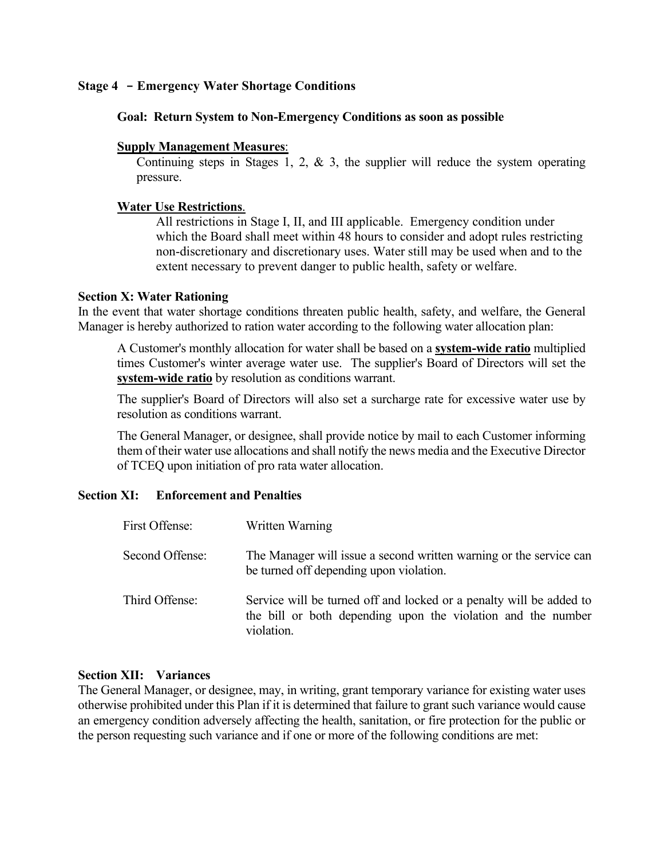# **Stage 4 - Emergency Water Shortage Conditions**

## **Goal: Return System to Non-Emergency Conditions as soon as possible**

# **Supply Management Measures**:

Continuing steps in Stages 1, 2,  $\&$  3, the supplier will reduce the system operating pressure.

## **Water Use Restrictions**.

All restrictions in Stage I, II, and III applicable. Emergency condition under which the Board shall meet within 48 hours to consider and adopt rules restricting non-discretionary and discretionary uses. Water still may be used when and to the extent necessary to prevent danger to public health, safety or welfare.

#### **Section X: Water Rationing**

In the event that water shortage conditions threaten public health, safety, and welfare, the General Manager is hereby authorized to ration water according to the following water allocation plan:

A Customer's monthly allocation for water shall be based on a **system-wide ratio** multiplied times Customer's winter average water use. The supplier's Board of Directors will set the **system-wide ratio** by resolution as conditions warrant.

The supplier's Board of Directors will also set a surcharge rate for excessive water use by resolution as conditions warrant.

The General Manager, or designee, shall provide notice by mail to each Customer informing them of their water use allocations and shall notify the news media and the Executive Director of TCEQ upon initiation of pro rata water allocation.

# **Section XI: Enforcement and Penalties**

| First Offense:  | Written Warning                                                                                                                                   |
|-----------------|---------------------------------------------------------------------------------------------------------------------------------------------------|
| Second Offense: | The Manager will issue a second written warning or the service can<br>be turned off depending upon violation.                                     |
| Third Offense:  | Service will be turned off and locked or a penalty will be added to<br>the bill or both depending upon the violation and the number<br>violation. |

#### **Section XII: Variances**

The General Manager, or designee, may, in writing, grant temporary variance for existing water uses otherwise prohibited under this Plan if it is determined that failure to grant such variance would cause an emergency condition adversely affecting the health, sanitation, or fire protection for the public or the person requesting such variance and if one or more of the following conditions are met: